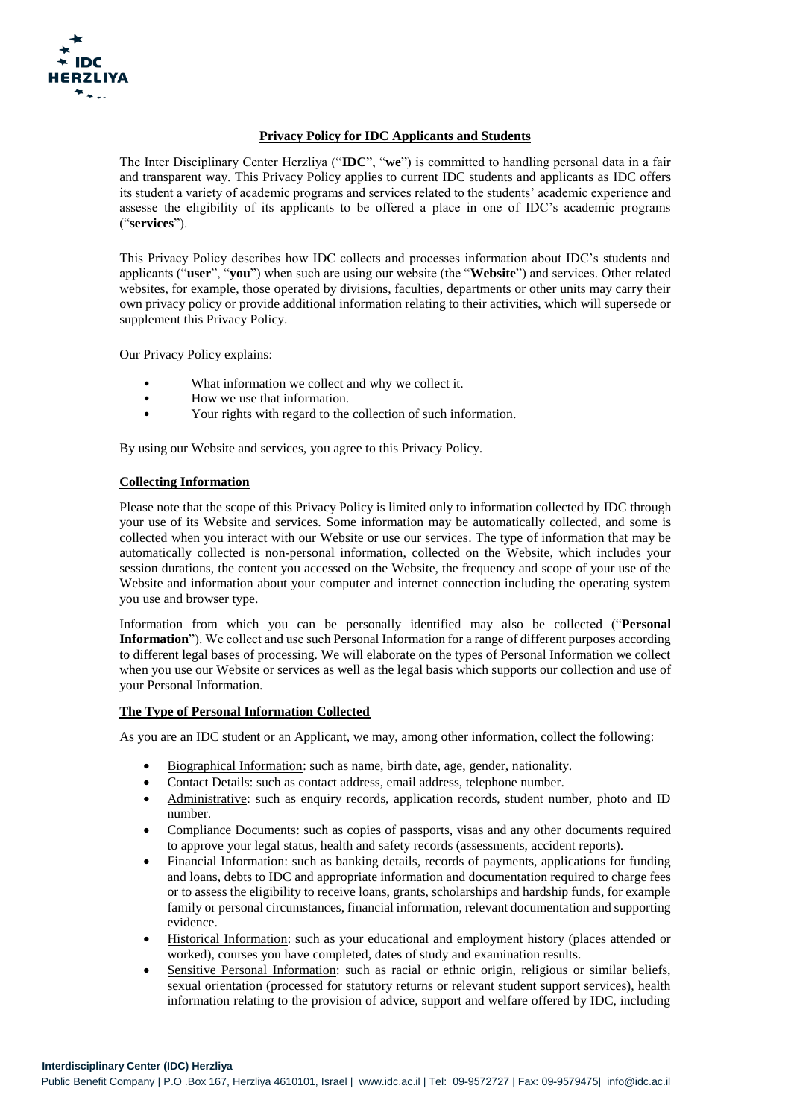

# **Privacy Policy for IDC Applicants and Students**

The Inter Disciplinary Center Herzliya ("**IDC**", "**we**") is committed to handling personal data in a fair and transparent way. This Privacy Policy applies to current IDC students and applicants as IDC offers its student a variety of academic programs and services related to the students' academic experience and assesse the eligibility of its applicants to be offered a place in one of IDC's academic programs ("**services**").

This Privacy Policy describes how IDC collects and processes information about IDC's students and applicants ("**user**", "**you**") when such are using our website (the "**Website**") and services. Other related websites, for example, those operated by divisions, faculties, departments or other units may carry their own privacy policy or provide additional information relating to their activities, which will supersede or supplement this Privacy Policy.

Our Privacy Policy explains:

- What information we collect and why we collect it.
- How we use that information.
- Your rights with regard to the collection of such information.

By using our Website and services, you agree to this Privacy Policy.

# **Collecting Information**

Please note that the scope of this Privacy Policy is limited only to information collected by IDC through your use of its Website and services. Some information may be automatically collected, and some is collected when you interact with our Website or use our services. The type of information that may be automatically collected is non-personal information, collected on the Website, which includes your session durations, the content you accessed on the Website, the frequency and scope of your use of the Website and information about your computer and internet connection including the operating system you use and browser type.

Information from which you can be personally identified may also be collected ("**Personal Information**"). We collect and use such Personal Information for a range of different purposes according to different legal bases of processing. We will elaborate on the types of Personal Information we collect when you use our Website or services as well as the legal basis which supports our collection and use of your Personal Information.

# **The Type of Personal Information Collected**

As you are an IDC student or an Applicant, we may, among other information, collect the following:

- Biographical Information: such as name, birth date, age, gender, nationality.
- Contact Details: such as contact address, email address, telephone number.
- Administrative: such as enquiry records, application records, student number, photo and ID number.
- Compliance Documents: such as copies of passports, visas and any other documents required to approve your legal status, health and safety records (assessments, accident reports).
- Financial Information: such as banking details, records of payments, applications for funding and loans, debts to IDC and appropriate information and documentation required to charge fees or to assess the eligibility to receive loans, grants, scholarships and hardship funds, for example family or personal circumstances, financial information, relevant documentation and supporting evidence.
- Historical Information: such as your educational and employment history (places attended or worked), courses you have completed, dates of study and examination results.
- Sensitive Personal Information: such as racial or ethnic origin, religious or similar beliefs, sexual orientation (processed for statutory returns or relevant student support services), health information relating to the provision of advice, support and welfare offered by IDC, including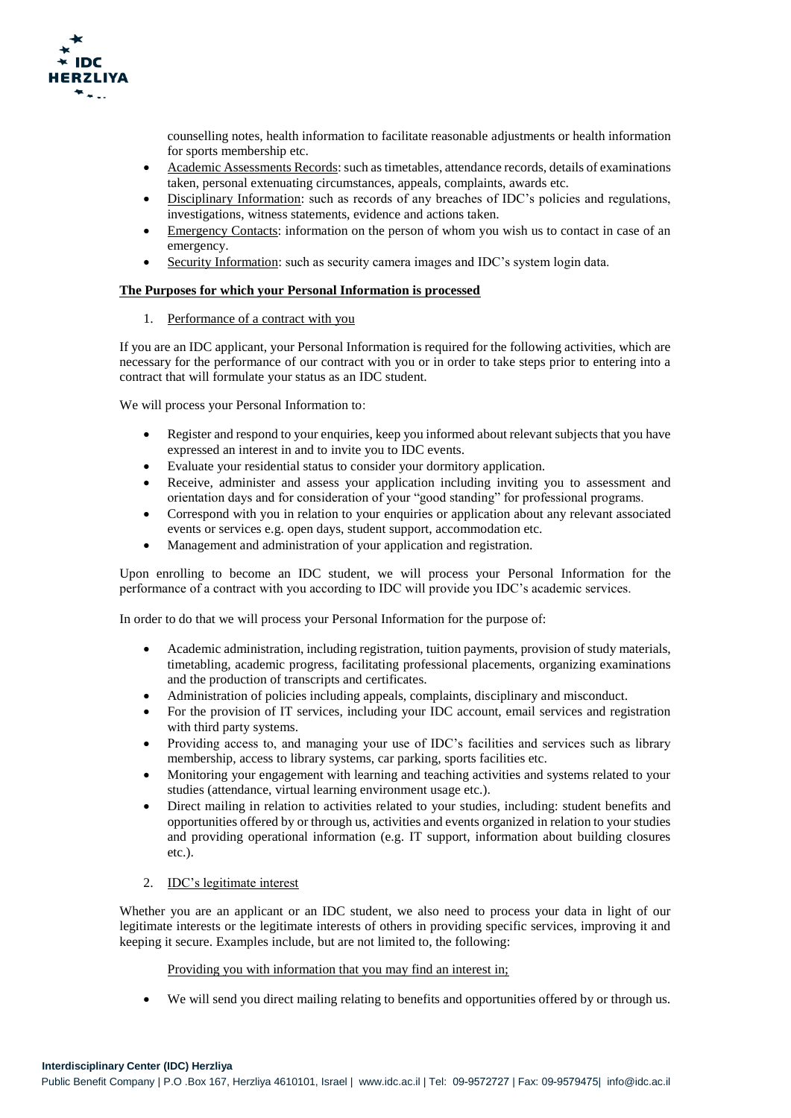

counselling notes, health information to facilitate reasonable adjustments or health information for sports membership etc.

- Academic Assessments Records: such as timetables, attendance records, details of examinations taken, personal extenuating circumstances, appeals, complaints, awards etc.
- Disciplinary Information: such as records of any breaches of IDC's policies and regulations, investigations, witness statements, evidence and actions taken.
- Emergency Contacts: information on the person of whom you wish us to contact in case of an emergency.
- Security Information: such as security camera images and IDC's system login data.

# **The Purposes for which your Personal Information is processed**

1. Performance of a contract with you

If you are an IDC applicant, your Personal Information is required for the following activities, which are necessary for the performance of our contract with you or in order to take steps prior to entering into a contract that will formulate your status as an IDC student.

We will process your Personal Information to:

- Register and respond to your enquiries, keep you informed about relevant subjects that you have expressed an interest in and to invite you to IDC events.
- Evaluate your residential status to consider your dormitory application.
- Receive, administer and assess your application including inviting you to assessment and orientation days and for consideration of your "good standing" for professional programs.
- Correspond with you in relation to your enquiries or application about any relevant associated events or services e.g. open days, student support, accommodation etc.
- Management and administration of your application and registration.

Upon enrolling to become an IDC student, we will process your Personal Information for the performance of a contract with you according to IDC will provide you IDC's academic services.

In order to do that we will process your Personal Information for the purpose of:

- Academic administration, including registration, tuition payments, provision of study materials, timetabling, academic progress, facilitating professional placements, organizing examinations and the production of transcripts and certificates.
- Administration of policies including appeals, complaints, disciplinary and misconduct.
- For the provision of IT services, including your IDC account, email services and registration with third party systems.
- Providing access to, and managing your use of IDC's facilities and services such as library membership, access to library systems, car parking, sports facilities etc.
- Monitoring your engagement with learning and teaching activities and systems related to your studies (attendance, virtual learning environment usage etc.).
- Direct mailing in relation to activities related to your studies, including: student benefits and opportunities offered by or through us, activities and events organized in relation to your studies and providing operational information (e.g. IT support, information about building closures etc.).

# 2. IDC's legitimate interest

Whether you are an applicant or an IDC student, we also need to process your data in light of our legitimate interests or the legitimate interests of others in providing specific services, improving it and keeping it secure. Examples include, but are not limited to, the following:

Providing you with information that you may find an interest in;

We will send you direct mailing relating to benefits and opportunities offered by or through us.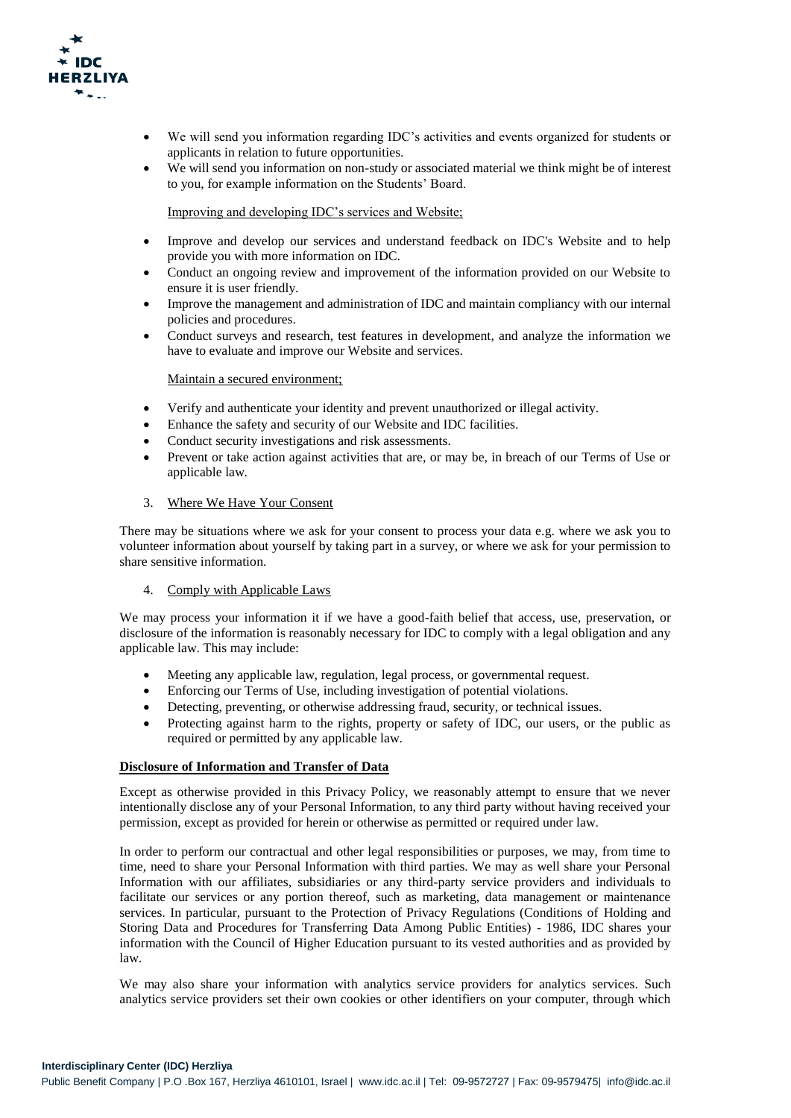

- We will send you information regarding IDC's activities and events organized for students or applicants in relation to future opportunities.
- We will send you information on non-study or associated material we think might be of interest to you, for example information on the Students' Board.

Improving and developing IDC's services and Website;

- Improve and develop our services and understand feedback on IDC's Website and to help provide you with more information on IDC.
- Conduct an ongoing review and improvement of the information provided on our Website to ensure it is user friendly.
- Improve the management and administration of IDC and maintain compliancy with our internal policies and procedures.
- Conduct surveys and research, test features in development, and analyze the information we have to evaluate and improve our Website and services.

#### Maintain a secured environment;

- Verify and authenticate your identity and prevent unauthorized or illegal activity.
- Enhance the safety and security of our Website and IDC facilities.
- Conduct security investigations and risk assessments.
- Prevent or take action against activities that are, or may be, in breach of our Terms of Use or applicable law.

### 3. Where We Have Your Consent

There may be situations where we ask for your consent to process your data e.g. where we ask you to volunteer information about yourself by taking part in a survey, or where we ask for your permission to share sensitive information.

#### 4. Comply with Applicable Laws

We may process your information it if we have a good-faith belief that access, use, preservation, or disclosure of the information is reasonably necessary for IDC to comply with a legal obligation and any applicable law. This may include:

- Meeting any applicable law, regulation, [legal process, or governmental request.](https://policies.google.com/privacy?hl=en-US#footnote-legal)
- Enforcing our Terms of Use, including investigation of potential violations.
- Detecting, preventing, or otherwise addressing fraud, security, or technical issues.
- Protecting against harm to the rights, property or safety of IDC, our users, or the public as required or permitted by any applicable law.

#### **Disclosure of Information and Transfer of Data**

Except as otherwise provided in this Privacy Policy, we reasonably attempt to ensure that we never intentionally disclose any of your Personal Information, to any third party without having received your permission, except as provided for herein or otherwise as permitted or required under law.

In order to perform our contractual and other legal responsibilities or purposes, we may, from time to time, need to share your Personal Information with third parties. We may as well share your Personal Information with our affiliates, subsidiaries or any third-party service providers and individuals to facilitate our services or any portion thereof, such as marketing, data management or maintenance services. In particular, pursuant to the Protection of Privacy Regulations (Conditions of Holding and Storing Data and Procedures for Transferring Data Among Public Entities) - 1986, IDC shares your information with the Council of Higher Education pursuant to its vested authorities and as provided by law.

We may also share your information with analytics service providers for analytics services. Such analytics service providers set their own cookies or other identifiers on your computer, through which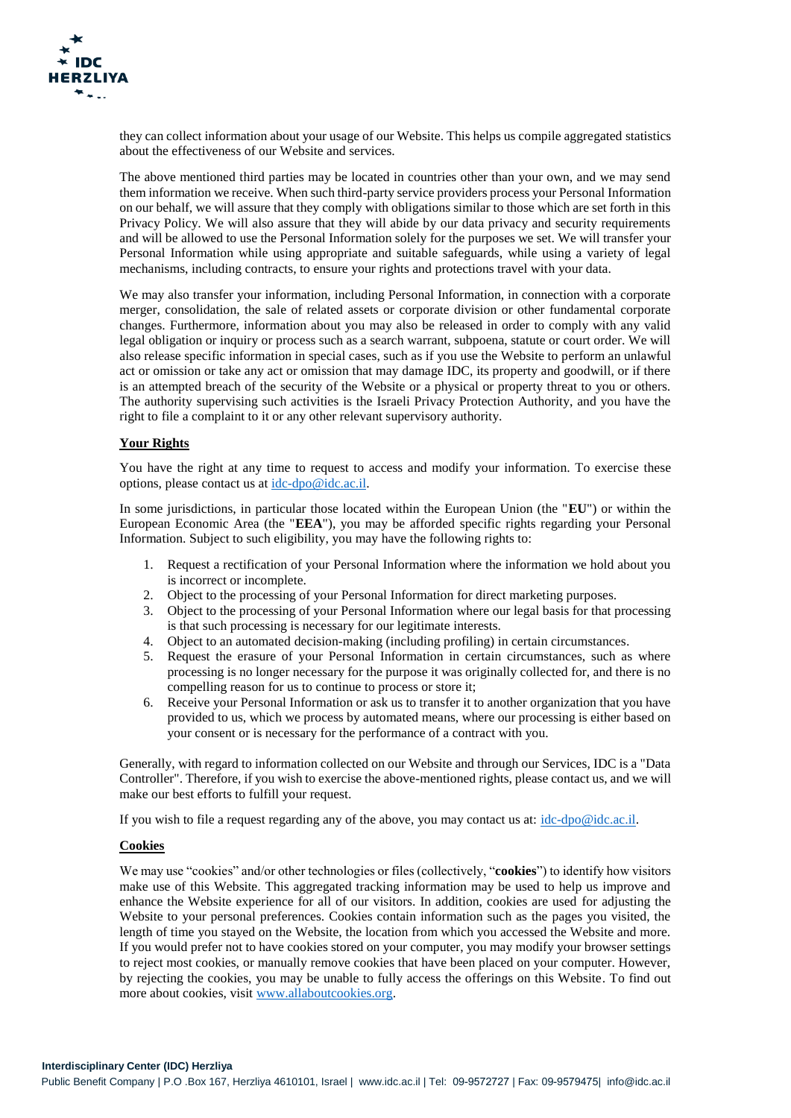they can collect information about your usage of our Website. This helps us compile aggregated statistics about the effectiveness of our Website and services.

The above mentioned third parties may be located in countries other than your own, and we may send them information we receive. When such third-party service providers process your Personal Information on our behalf, we will assure that they comply with obligations similar to those which are set forth in this Privacy Policy. We will also assure that they will abide by our data privacy and security requirements and will be allowed to use the Personal Information solely for the purposes we set. We will transfer your Personal Information while using appropriate and suitable safeguards, while using a variety of legal mechanisms, including contracts, to ensure your rights and protections travel with your data.

We may also transfer your information, including Personal Information, in connection with a corporate merger, consolidation, the sale of related assets or corporate division or other fundamental corporate changes. Furthermore, information about you may also be released in order to comply with any valid legal obligation or inquiry or process such as a search warrant, subpoena, statute or court order. We will also release specific information in special cases, such as if you use the Website to perform an unlawful act or omission or take any act or omission that may damage IDC, its property and goodwill, or if there is an attempted breach of the security of the Website or a physical or property threat to you or others. The authority supervising such activities is the Israeli Privacy Protection Authority, and you have the right to file a complaint to it or any other relevant supervisory authority.

# **Your Rights**

You have the right at any time to request to access and modify your information. To exercise these options, please contact us at [idc-dpo@idc.ac.il.](mailto:idc-dpo@idc.ac.il)

In some jurisdictions, in particular those located within the European Union (the "**EU**") or within the European Economic Area (the "**EEA**"), you may be afforded specific rights regarding your Personal Information. Subject to such eligibility, you may have the following rights to:

- 1. Request a rectification of your Personal Information where the information we hold about you is incorrect or incomplete.
- 2. Object to the processing of your Personal Information for direct marketing purposes.
- 3. Object to the processing of your Personal Information where our legal basis for that processing is that such processing is necessary for our legitimate interests.
- 4. Object to an automated decision-making (including profiling) in certain circumstances.
- 5. Request the erasure of your Personal Information in certain circumstances, such as where processing is no longer necessary for the purpose it was originally collected for, and there is no compelling reason for us to continue to process or store it;
- 6. Receive your Personal Information or ask us to transfer it to another organization that you have provided to us, which we process by automated means, where our processing is either based on your consent or is necessary for the performance of a contract with you.

Generally, with regard to information collected on our Website and through our Services, IDC is a "Data Controller". Therefore, if you wish to exercise the above-mentioned rights, please contact us, and we will make our best efforts to fulfill your request.

If you wish to file a request regarding any of the above, you may contact us at: [idc-dpo@idc.ac.il.](mailto:idc-dpo@idc.ac.il)

#### **Cookies**

We may use "cookies" and/or other technologies or files (collectively, "**cookies**") to identify how visitors make use of this Website. This aggregated tracking information may be used to help us improve and enhance the Website experience for all of our visitors. In addition, cookies are used for adjusting the Website to your personal preferences. Cookies contain information such as the pages you visited, the length of time you stayed on the Website, the location from which you accessed the Website and more. If you would prefer not to have cookies stored on your computer, you may modify your browser settings to reject most cookies, or manually remove cookies that have been placed on your computer. However, by rejecting the cookies, you may be unable to fully access the offerings on this Website. To find out more about cookies, visit [www.allaboutcookies.org.](http://www.allaboutcookies.org/)